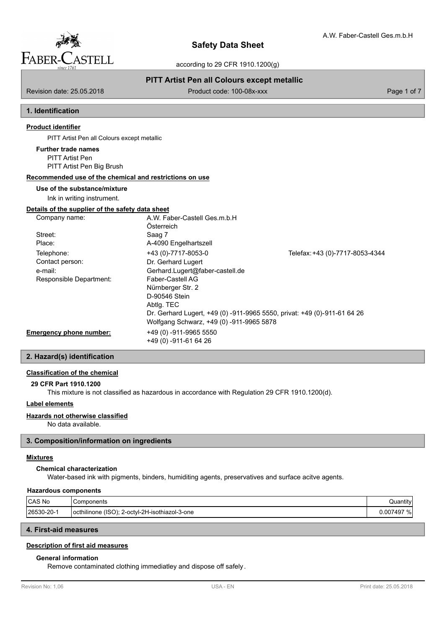

# **PITT Artist Pen all Colours except metallic**

Revision date: 25.05.2018 **Product code: 100-08x-xxx** Page 1 of 7

## **1. Identification**

# **Product identifier**

PITT Artist Pen all Colours except metallic

# **Further trade names**

PITT Artist Pen PITT Artist Pen Big Brush

### **Recommended use of the chemical and restrictions on use**

# **Use of the substance/mixture**

Ink in writing instrument.

#### **Details of the supplier of the safety data sheet**

| Company name:                  | A.W. Faber-Castell Ges.m.b.H                                             |                                 |
|--------------------------------|--------------------------------------------------------------------------|---------------------------------|
|                                | Österreich                                                               |                                 |
| Street:                        | Saag 7                                                                   |                                 |
| Place:                         | A-4090 Engelhartszell                                                    |                                 |
| Telephone:                     | +43 (0)-7717-8053-0                                                      | Telefax: +43 (0)-7717-8053-4344 |
| Contact person:                | Dr. Gerhard Lugert                                                       |                                 |
| e-mail:                        | Gerhard.Lugert@faber-castell.de                                          |                                 |
| Responsible Department:        | Faber-Castell AG                                                         |                                 |
|                                | Nürnberger Str. 2                                                        |                                 |
|                                | D-90546 Stein                                                            |                                 |
|                                | Abtlg. TEC                                                               |                                 |
|                                | Dr. Gerhard Lugert, +49 (0) -911-9965 5550, privat: +49 (0)-911-61 64 26 |                                 |
|                                | Wolfgang Schwarz, +49 (0) -911-9965 5878                                 |                                 |
| <b>Emergency phone number:</b> | +49 (0) -911-9965 5550                                                   |                                 |
|                                | +49 (0) -911-61 64 26                                                    |                                 |

## **2. Hazard(s) identification**

## **Classification of the chemical**

**29 CFR Part 1910.1200**

This mixture is not classified as hazardous in accordance with Regulation 29 CFR 1910.1200(d).

## **Label elements**

## **Hazards not otherwise classified**

No data available.

## **3. Composition/information on ingredients**

#### **Mixtures**

## **Chemical characterization**

Water-based ink with pigments, binders, humiditing agents, preservatives and surface acitve agents.

#### **Hazardous components**

| CAS No      | Components                                            | .<br>Quantity   |
|-------------|-------------------------------------------------------|-----------------|
| l26530-20-1 | (ISO):<br>locthilinone<br>'-octyl-2H-isothiazol-3-one | 0.007497<br>701 |

# **4. First-aid measures**

# **Description of first aid measures**

## **General information**

Remove contaminated clothing immediatley and dispose off safely.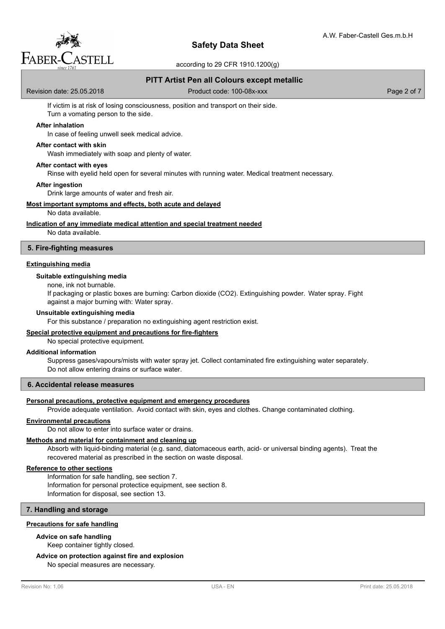

# **Safety Data Sheet**

according to 29 CFR 1910.1200(g)

# **PITT Artist Pen all Colours except metallic**

Revision date: 25.05.2018 Product code: 100-08x-xxx Page 2 of 7

If victim is at risk of losing consciousness, position and transport on their side. Turn a vomating person to the side.

#### **After inhalation**

In case of feeling unwell seek medical advice.

#### **After contact with skin**

Wash immediately with soap and plenty of water.

## **After contact with eyes**

Rinse with eyelid held open for several minutes with running water. Medical treatment necessary.

**After ingestion**

Drink large amounts of water and fresh air.

#### **Most important symptoms and effects, both acute and delayed**

#### No data available.

**Indication of any immediate medical attention and special treatment needed**

No data available.

### **5. Fire-fighting measures**

#### **Extinguishing media**

#### **Suitable extinguishing media**

none, ink not burnable.

If packaging or plastic boxes are burning: Carbon dioxide (CO2). Extinguishing powder. Water spray. Fight against a major burning with: Water spray.

#### **Unsuitable extinguishing media**

For this substance / preparation no extinguishing agent restriction exist.

#### **Special protective equipment and precautions for fire-fighters**

No special protective equipment.

#### **Additional information**

Suppress gases/vapours/mists with water spray jet. Collect contaminated fire extinguishing water separately. Do not allow entering drains or surface water.

## **6. Accidental release measures**

#### **Personal precautions, protective equipment and emergency procedures**

Provide adequate ventilation. Avoid contact with skin, eyes and clothes. Change contaminated clothing.

#### **Environmental precautions**

Do not allow to enter into surface water or drains.

#### **Methods and material for containment and cleaning up**

Absorb with liquid-binding material (e.g. sand, diatomaceous earth, acid- or universal binding agents). Treat the recovered material as prescribed in the section on waste disposal.

# **Reference to other sections**

Information for safe handling, see section 7. Information for personal protectice equipment, see section 8. Information for disposal, see section 13.

# **7. Handling and storage**

#### **Precautions for safe handling**

## **Advice on safe handling**

Keep container tightly closed.

## **Advice on protection against fire and explosion**

No special measures are necessary.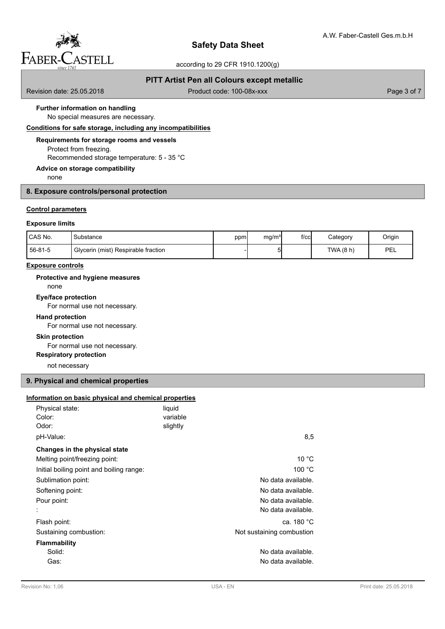

# **PITT Artist Pen all Colours except metallic**

Revision date: 25.05.2018 **Product code: 100-08x-xxx** Page 3 of 7

# **Further information on handling**

No special measures are necessary.

# **Conditions for safe storage, including any incompatibilities**

## **Requirements for storage rooms and vessels**

Protect from freezing. Recommended storage temperature: 5 - 35 °C

# **Advice on storage compatibility**

none

# **8. Exposure controls/personal protection**

## **Control parameters**

#### **Exposure limits**

| I CAS No. | Substance                           | ppm | mg/m <sup>3</sup> | $f$ / $c$ c $\vert$ | Category    | Origin |
|-----------|-------------------------------------|-----|-------------------|---------------------|-------------|--------|
| 156-81-5  | Glycerin (mist) Respirable fraction |     | י                 |                     | TWA $(8 h)$ | PEL    |

#### **Exposure controls**

#### **Protective and hygiene measures**

none

# **Eye/face protection**

For normal use not necessary.

# **Hand protection**

For normal use not necessary.

# **Skin protection**

For normal use not necessary.

# **Respiratory protection**

not necessary

# **9. Physical and chemical properties**

#### **Information on basic physical and chemical properties**

| Physical state:<br>Color:<br>Odor:       | liquid<br>variable<br>slightly |                           |
|------------------------------------------|--------------------------------|---------------------------|
| pH-Value:                                |                                | 8,5                       |
| Changes in the physical state            |                                |                           |
| Melting point/freezing point:            |                                | 10 °C                     |
| Initial boiling point and boiling range: |                                | 100 °C                    |
| Sublimation point:                       |                                | No data available.        |
| Softening point:                         |                                | No data available.        |
| Pour point:                              |                                | No data available.        |
|                                          |                                | No data available.        |
| Flash point:                             |                                | ca. 180 °C                |
| Sustaining combustion:                   |                                | Not sustaining combustion |
| <b>Flammability</b>                      |                                |                           |
| Solid:                                   |                                | No data available.        |
| Gas:                                     |                                | No data available.        |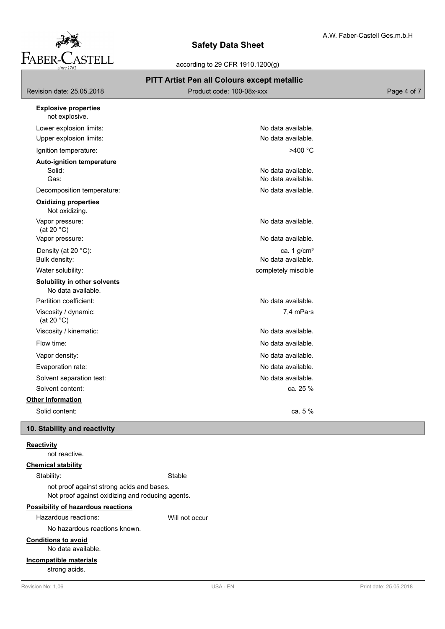

# **Safety Data Sheet**

according to 29 CFR 1910.1200(g)

# **PITT Artist Pen all Colours except metallic**

| Revision date: 25.05.2018<br>Product code: 100-08x-xxx |                    | Page 4 of 7 |
|--------------------------------------------------------|--------------------|-------------|
| <b>Explosive properties</b><br>not explosive.          |                    |             |
| Lower explosion limits:                                | No data available. |             |
| Upper explosion limits:                                | No data available. |             |
| Ignition temperature:                                  | $>400\text{ °C}$   |             |
| <b>Auto-ignition temperature</b>                       |                    |             |

Solid: No data available. Gas: No data available.

Decomposition temperature:  $\blacksquare$ 

# Not oxidizing. **Oxidizing properties** Vapor pressure:  $\blacksquare$

 (at 20 °C) Vapor pressure:  $\blacksquare$ 

Density (at 20 °C): ca. 1 g/cm<sup>3</sup> Bulk density: No data available.

Water solubility: Water solubility:

# **Solubility in other solvents**

No data available.

Partition coefficient: No data available. Viscosity / dynamic: 7,4 mPa·s (at 20 °C)

Viscosity / kinematic: No data available.

Flow time: No data available.

Vapor density:  $\blacksquare$ 

Evaporation rate: No data available.

Solvent separation test: No data available. Solvent content: ca. 25 %

# **Other information**

Solid content: Ca. 5 %

# **10. Stability and reactivity**

# **Reactivity**

not reactive.

# **Chemical stability**

Stability: Stable

not proof against strong acids and bases. Not proof against oxidizing and reducing agents.

# **Possibility of hazardous reactions**

Hazardous reactions: Will not occur

No hazardous reactions known.

# **Conditions to avoid**

No data available.

# **Incompatible materials**

strong acids.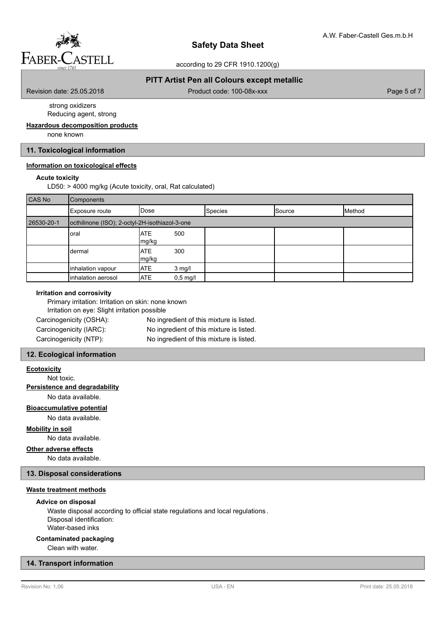

# **PITT Artist Pen all Colours except metallic**

Revision date: 25.05.2018 **Product code: 100-08x-xxx** Page 5 of 7

 strong oxidizers Reducing agent, strong

#### **Hazardous decomposition products**

none known

# **11. Toxicological information**

## **Information on toxicological effects**

#### **Acute toxicity**

LD50: > 4000 mg/kg (Acute toxicity, oral, Rat calculated)

| CAS No     | Components                                     |                     |            |                |        |        |
|------------|------------------------------------------------|---------------------|------------|----------------|--------|--------|
|            | Exposure route                                 | <b>I</b> Dose       |            | <b>Species</b> | Source | Method |
| 26530-20-1 | octhilinone (ISO); 2-octyl-2H-isothiazol-3-one |                     |            |                |        |        |
|            | oral                                           | <b>ATE</b><br>mg/kg | 500        |                |        |        |
|            | dermal                                         | <b>ATE</b><br>mg/kg | 300        |                |        |        |
|            | inhalation vapour                              | <b>ATE</b>          | 3 mg/l     |                |        |        |
|            | inhalation aerosol                             | <b>ATE</b>          | $0,5$ mg/l |                |        |        |

#### **Irritation and corrosivity**

| Primary irritation: Irritation on skin: none known |                                          |
|----------------------------------------------------|------------------------------------------|
| Irritation on eye: Slight irritation possible      |                                          |
| Carcinogenicity (OSHA):                            | No ingredient of this mixture is listed. |
| Carcinogenicity (IARC):                            | No ingredient of this mixture is listed. |
| Carcinogenicity (NTP):                             | No ingredient of this mixture is listed. |

## **12. Ecological information**

#### **Ecotoxicity**

Not toxic.

# **Persistence and degradability**

No data available.

# **Bioaccumulative potential**

No data available.

## **Mobility in soil**

No data available.

# **Other adverse effects**

No data available.

# **13. Disposal considerations**

#### **Waste treatment methods**

#### **Advice on disposal**

Waste disposal according to official state regulations and local regulations . Disposal identification: Water-based inks

## **Contaminated packaging**

Clean with water.

## **14. Transport information**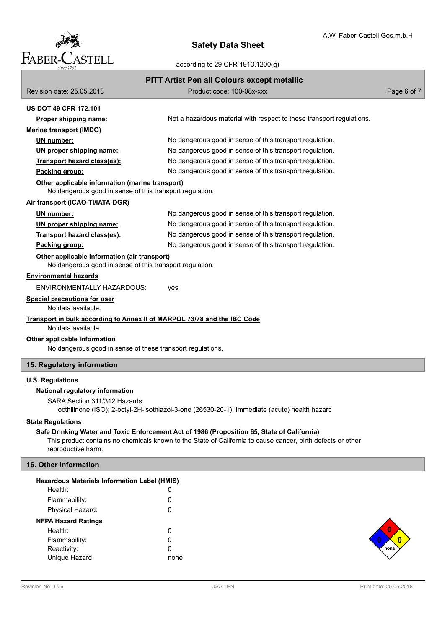

# **Safety Data Sheet**

according to 29 CFR 1910.1200(g)

| <b>PITT Artist Pen all Colours except metallic</b>                                                          |                                                                                                             |             |  |  |
|-------------------------------------------------------------------------------------------------------------|-------------------------------------------------------------------------------------------------------------|-------------|--|--|
| Revision date: 25.05.2018                                                                                   | Product code: 100-08x-xxx                                                                                   | Page 6 of 7 |  |  |
| <b>US DOT 49 CFR 172.101</b>                                                                                |                                                                                                             |             |  |  |
| Proper shipping name:                                                                                       | Not a hazardous material with respect to these transport regulations.                                       |             |  |  |
| <b>Marine transport (IMDG)</b>                                                                              |                                                                                                             |             |  |  |
| UN number:                                                                                                  | No dangerous good in sense of this transport regulation.                                                    |             |  |  |
| UN proper shipping name:                                                                                    | No dangerous good in sense of this transport regulation.                                                    |             |  |  |
| Transport hazard class(es):                                                                                 | No dangerous good in sense of this transport regulation.                                                    |             |  |  |
| Packing group:                                                                                              | No dangerous good in sense of this transport regulation.                                                    |             |  |  |
| Other applicable information (marine transport)<br>No dangerous good in sense of this transport regulation. |                                                                                                             |             |  |  |
| Air transport (ICAO-TI/IATA-DGR)                                                                            |                                                                                                             |             |  |  |
| UN number:                                                                                                  | No dangerous good in sense of this transport regulation.                                                    |             |  |  |
| UN proper shipping name:                                                                                    | No dangerous good in sense of this transport regulation.                                                    |             |  |  |
| Transport hazard class(es):                                                                                 | No dangerous good in sense of this transport regulation.                                                    |             |  |  |
| Packing group:                                                                                              | No dangerous good in sense of this transport regulation.                                                    |             |  |  |
| Other applicable information (air transport)<br>No dangerous good in sense of this transport regulation.    |                                                                                                             |             |  |  |
| <b>Environmental hazards</b>                                                                                |                                                                                                             |             |  |  |
| <b>ENVIRONMENTALLY HAZARDOUS:</b>                                                                           | yes                                                                                                         |             |  |  |
| <b>Special precautions for user</b><br>No data available.                                                   |                                                                                                             |             |  |  |
| Transport in bulk according to Annex II of MARPOL 73/78 and the IBC Code                                    |                                                                                                             |             |  |  |
| No data available.                                                                                          |                                                                                                             |             |  |  |
| Other applicable information                                                                                |                                                                                                             |             |  |  |
| No dangerous good in sense of these transport regulations.                                                  |                                                                                                             |             |  |  |
| 15. Regulatory information                                                                                  |                                                                                                             |             |  |  |
| <b>U.S. Regulations</b>                                                                                     |                                                                                                             |             |  |  |
| National regulatory information                                                                             |                                                                                                             |             |  |  |
| SARA Section 311/312 Hazards:                                                                               |                                                                                                             |             |  |  |
|                                                                                                             | octhilinone (ISO); 2-octyl-2H-isothiazol-3-one (26530-20-1): Immediate (acute) health hazard                |             |  |  |
| <b>State Regulations</b>                                                                                    |                                                                                                             |             |  |  |
|                                                                                                             | Safe Drinking Water and Toxic Enforcement Act of 1986 (Proposition 65, State of California)                 |             |  |  |
| reproductive harm.                                                                                          | This product contains no chemicals known to the State of California to cause cancer, birth defects or other |             |  |  |
| 16. Other information                                                                                       |                                                                                                             |             |  |  |
|                                                                                                             |                                                                                                             |             |  |  |
| <b>Hazardous Materials Information Label (HMIS)</b>                                                         |                                                                                                             |             |  |  |
| Health:                                                                                                     | 0                                                                                                           |             |  |  |
| Flammability:                                                                                               | 0                                                                                                           |             |  |  |
| Physical Hazard:                                                                                            | 0                                                                                                           |             |  |  |
| <b>NFPA Hazard Ratings</b>                                                                                  |                                                                                                             |             |  |  |
| Health:                                                                                                     | 0                                                                                                           |             |  |  |

Reactivity:

Flammability: 0<br>Reactivity: 0

**none 0 0**